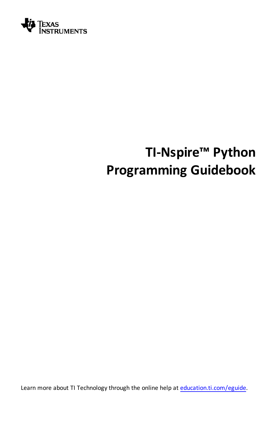

# **TI-Nspire™ Python Programming Guidebook**

Learn more about TI Technology through the online help at [education.ti.com/eguide](https://education.ti.com/eguide).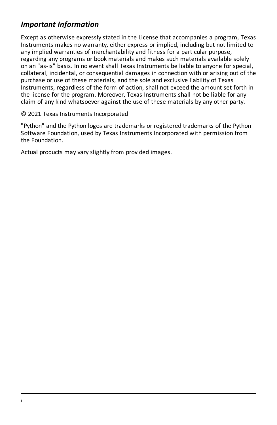## *Important Information*

Except as otherwise expressly stated in the License that accompanies a program, Texas Instruments makes no warranty, either express or implied, including but not limited to any implied warranties of merchantability and fitness for a particular purpose, regarding any programs or book materials and makes such materials available solely on an "as-is" basis. In no event shall Texas Instruments be liable to anyone for special, collateral, incidental, or consequential damages in connection with or arising out of the purchase or use of these materials, and the sole and exclusive liability of Texas Instruments, regardless of the form of action, shall not exceed the amount set forth in the license for the program. Moreover, Texas Instruments shall not be liable for any claim of any kind whatsoever against the use of these materials by any other party.

#### © 2021 Texas Instruments Incorporated

"Python" and the Python logos are trademarks or registered trademarks of the Python Software Foundation, used by Texas Instruments Incorporated with permission from the Foundation.

Actual products may vary slightly from provided images.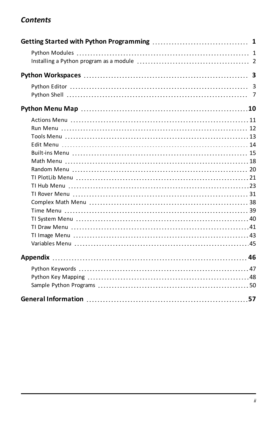## *Contents*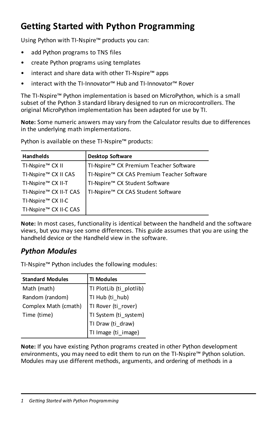## <span id="page-3-0"></span>**Getting Started with Python Programming**

Using Python with TI-Nspire™ products you can:

- add Python programs to TNS files
- create Python programs using templates
- interact and share data with other TI-Nspire™ apps
- interact with the TI-Innovator™ Hub and TI-Innovator™ Rover

The TI-Nspire™ Python implementation is based on MicroPython, which is a small subset of the Python 3 standard library designed to run on microcontrollers. The original MicroPython implementation has been adapted for use by TI.

**Note:** Some numeric answers may vary from the Calculator results due to differences in the underlying math implementations.

Python is available on these TI-Nspire™ products:

| <b>Handhelds</b>       | <b>Desktop Software</b>                    |
|------------------------|--------------------------------------------|
| TI-Nspire™ CX II       | TI-Nspire™ CX Premium Teacher Software     |
| TI-Nspire™ CX II CAS   | TI-Nspire™ CX CAS Premium Teacher Software |
| TI-Nspire™ CX II-T     | TI-Nspire™ CX Student Software             |
| TI-Nspire™ CX II-T CAS | TI-Nspire™ CX CAS Student Software         |
| TI-Nspire™ CX II-C     |                                            |
| TI-Nspire™ CX II-C CAS |                                            |

**Note:** In most cases, functionality is identical between the handheld and the software views, but you may see some differences. This guide assumes that you are using the handheld device or the Handheld view in the software.

## <span id="page-3-1"></span>*Python Modules*

TI-Nspire™ Python includes the following modules:

| <b>Standard Modules</b> | <b>TI Modules</b>                                                 |
|-------------------------|-------------------------------------------------------------------|
|                         |                                                                   |
| Math (math)             | TI PlotLib (ti_plotlib)                                           |
| Random (random)         | TI Hub (ti_hub)                                                   |
| Complex Math (cmath)    |                                                                   |
| Time (time)             |                                                                   |
|                         | TI Rover (ti_rover)<br>TI System (ti_system)<br>TI Draw (ti_draw) |
|                         | TI Image (ti_image)                                               |

**Note:** If you have existing Python programs created in other Python development environments, you may need to edit them to run on the TI-Nspire™ Python solution. Modules may use different methods, arguments, and ordering of methods in a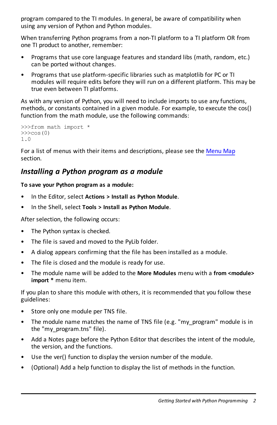program compared to the TI modules. In general, be aware of compatibility when using any version of Python and Python modules.

When transferring Python programs from a non-TI platform to a TI platform OR from one TI product to another, remember:

- Programs that use core language features and standard libs (math, random, etc.) can be ported without changes.
- Programs that use platform-specific libraries such as matplotlib for PC or TI modules will require edits before they will run on a different platform. This may be true even between TI platforms.

As with any version of Python, you will need to include imports to use any functions, methods, or constants contained in a given module. For example, to execute the cos() function from the math module, use the following commands:

```
>>>from math import *
>><sub>cos</sub>(0)1.0
```
For a list of menus with their items and descriptions, please see the [Menu](#page-12-0) Map section.

## <span id="page-4-0"></span>*Installing a Python program as a module*

#### **To save your Python program as a module:**

- In the Editor, select **Actions > Install as Python Module**.
- In the Shell, select **Tools > Install as Python Module**.

After selection, the following occurs:

- The Python syntax is checked.
- The file is saved and moved to the PyLib folder.
- A dialog appears confirming that the file has been installed as a module.
- The file is closed and the module is ready for use.
- The module name will be added to the **More Modules** menu with a **from <module> import \*** menu item.

If you plan to share this module with others, it is recommended that you follow these guidelines:

- Store only one module per TNS file.
- The module name matches the name of TNS file (e.g. "my program" module is in the "my\_program.tns" file).
- Add a Notes page before the Python Editor that describes the intent of the module, the version, and the functions.
- Use the ver() function to display the version number of the module.
- (Optional) Add a help function to display the list of methods in the function.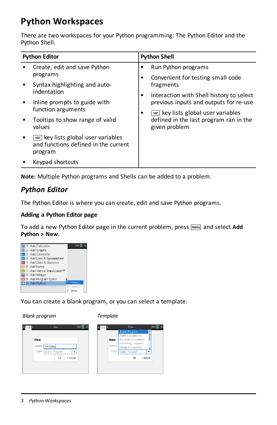## <span id="page-5-0"></span>**Python Workspaces**

There are two workspaces for your Python programming: The Python Editor and the Python Shell.

|  | <b>Python Editor</b>                                                                     |   | <b>Python Shell</b>                                                                                         |
|--|------------------------------------------------------------------------------------------|---|-------------------------------------------------------------------------------------------------------------|
|  | Create, edit and save Python<br>programs                                                 |   | Run Python programs                                                                                         |
|  |                                                                                          |   | Convenient for testing small code                                                                           |
|  | Syntax highlighting and auto-<br>indentation                                             |   | fragments                                                                                                   |
|  |                                                                                          |   | Interaction with Shell history to select<br>previous inputs and outputs for re-use                          |
|  | Inline prompts to guide with<br>function arguments                                       | ٠ |                                                                                                             |
|  | Tooltips to show range of valid<br>values                                                |   | $\overline{var}$ key lists global user variables<br>defined in the last program ran in the<br>given problem |
|  | [var] key lists global user variables<br>and functions defined in the current<br>program |   |                                                                                                             |
|  | Keypad shortcuts                                                                         |   |                                                                                                             |

<span id="page-5-1"></span>**Note:** Multiple Python programs and Shells can be added to a problem.

## *Python Editor*

The Python Editor is where you can create, edit and save Python programs.

#### **Adding a Python Editor page**

To add a new Python Editor page in the current problem, press **menul** and select Add **Python > New**.



You can create a blank program, or you can select a template.

*Blank program Template*

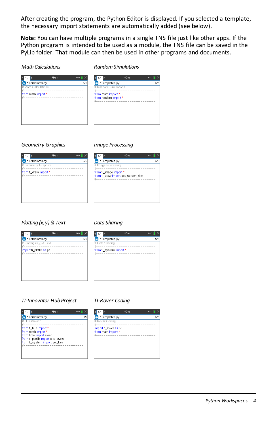After creating the program, the Python Editor is displayed. If you selected a template, the necessary import statements are automatically added (see below).

**Note:** You can have multiple programs in a single TNS file just like other apps. If the Python program is intended to be used as a module, the TNS file can be saved in the PyLib folder. That module can then be used in other programs and documents.

*Math Calculations Random Simulations*

| 1.1                 | *Doc                                | RAD |
|---------------------|-------------------------------------|-----|
| Templates.py        |                                     | 5/5 |
| # Math Calculations |                                     |     |
| from math import *  | #================================== |     |
|                     | =================================== |     |
|                     |                                     |     |
|                     |                                     |     |
|                     |                                     |     |
|                     |                                     |     |



 $\overline{6k}$ 

#### *Geometry Graphics Image Processing*

### $\left\langle \overline{\mathbf{m}}\right\rangle$ Templates.py

.<br>from ti limage import rom ti\_draw import get\_screen\_dim



#### *Plotting (x,y) & Text Data Sharing*





#### *TI-Innovator Hub Project TI-Rover Coding*



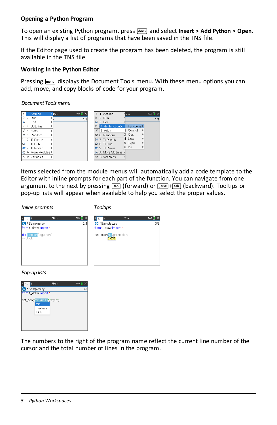#### **Opening a Python Program**

To open an existing Python program, press ~ and select **Insert > Add Python > Open**. This will display a list of programs that have been saved in the TNS file.

If the Editor page used to create the program has been deleted, the program is still available in the TNS file.

#### **Working in the Python Editor**

Pressing menul displays the Document Tools menu. With these menu options you can add, move, and copy blocks of code for your program.

*Document Tools menu*

|  | <b>1</b> Actions       | <b>PD</b> oc | <b>RAD</b> $\blacksquare$ $\times$ | ÷   | 1 Actions                     | <b>D</b> Doc                    |                          | <b>RAD</b> $\blacksquare$ $\times$ |
|--|------------------------|--------------|------------------------------------|-----|-------------------------------|---------------------------------|--------------------------|------------------------------------|
|  | D 2 Run                | ٠            | 1/1                                |     | $D$ 2 Run                     |                                 |                          | 1/1                                |
|  | <b>國3 Edit</b>         |              |                                    |     | 巴 3 Fdit                      |                                 |                          |                                    |
|  | If. 4 Built-ins        |              |                                    |     | $\text{tr}$ 1 def function(): | Functions $\blacktriangleright$ |                          |                                    |
|  | $\sqrt{s}$ 5 Math      |              |                                    |     | $\sqrt{k}$ 2 return           | Control                         | $\overline{\phantom{a}}$ |                                    |
|  | CO <sub>6</sub> Random |              |                                    |     | 印 6 Random                    | 3 Ops                           |                          |                                    |
|  | ピ 7 TI PlotLib         |              |                                    |     | 区 7 TI PlotLib                | 4 Lists                         |                          |                                    |
|  | $Q$ 8 Ti Hub           |              |                                    |     | $98$ TI Hub                   | 5 Type                          |                          |                                    |
|  | <b>₹</b> 9 TI Rover    |              |                                    |     | ◆ 9 TI Rover                  | 6 1/0                           |                          |                                    |
|  | & A More Modules       |              |                                    |     | & A More Modules ▶            |                                 |                          |                                    |
|  | var B Variables        | ٠            |                                    | var | <b>B</b> Variables            |                                 |                          |                                    |

Items selected from the module menus will automatically add a code template to the Editor with inline prompts for each part of the function. You can navigate from one argument to the next by pressing  $\overline{f_{\text{lab}}}$  (forward) or  $\sqrt{\frac{c_{\text{shiff}}}{f_{\text{lab}}}}$  (backward). Tooltips or pop-up lists will appear when available to help you select the proper values.

*Inline prompts Tooltips*

| 4 1.1                              | *Doc | <b>RAD</b> $\blacksquare$ $\times$ | 1.1                                      | *Doc | <b>RAD</b> |
|------------------------------------|------|------------------------------------|------------------------------------------|------|------------|
| Samples.py                         |      | 3/4                                | Samples.py                               |      | 3/3        |
| from ti_draw import *              |      |                                    | from ti draw import *                    |      |            |
| def unction (argument):<br>++block |      |                                    | set_color(red, green, blue)<br>$0 - 255$ |      |            |

*Pop-up lists*



The numbers to the right of the program name reflect the current line number of the cursor and the total number of lines in the program.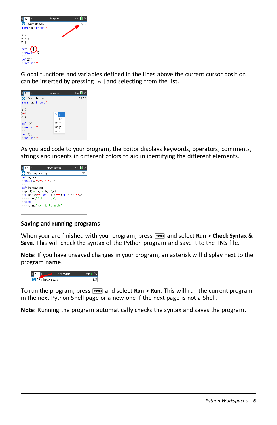| 1.1                                      | Samples | RAD <sup>[</sup> |
|------------------------------------------|---------|------------------|
| a<br>Samples.py                          |         | 7/12             |
| from math import *                       |         |                  |
| $x=2$<br>$y=4.5$<br>z=pi                 |         |                  |
| $\text{def } f1(\bigcirc)$ :<br>return 2 |         |                  |
| $deff2(n)$ :<br>** return n**3           |         |                  |

Global functions and variables defined in the lines above the current cursor position can be inserted by pressing  $\sqrt{var}$  and selecting from the list.

|                               | Samples          | <b>RAD</b> |
|-------------------------------|------------------|------------|
| Samples.py<br>la.             |                  | 11/11      |
| from math import *            |                  |            |
| $x=2$<br>$v = 4.5$<br>z=pi    | fol F1<br>for f2 |            |
| def f1(n):                    | var x            |            |
| +return n**2                  | var V            |            |
|                               | var 7            |            |
| $def f2(n)$ :<br>·return n**3 |                  |            |

As you add code to your program, the Editor displays keywords, operators, comments, strings and indents in different colors to aid in identifying the different elements.



#### **Saving and running programs**

When your are finished with your program, press  $\overline{m_{\text{mu}}}$  and select **Run** > Check Syntax & **Save**. This will check the syntax of the Python program and save it to the TNS file.

**Note:** If you have unsaved changes in your program, an asterisk will display next to the program name.



To run the program, press menul and select **Run > Run**. This will run the current program in the next Python Shell page or a new one if the next page is not a Shell.

**Note:** Running the program automatically checks the syntax and saves the program.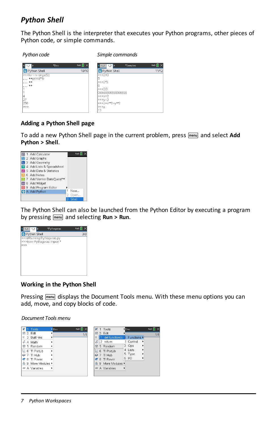## <span id="page-9-0"></span>*Python Shell*

The Python Shell is the interpreter that executes your Python programs, other pieces of Python code, or simple commands.

*Python code Simple commands*

|                                            | *Doc | RAD <sup>n</sup> |
|--------------------------------------------|------|------------------|
| Python Shell                               |      | 10/10            |
| >>>for i in range(5):                      |      |                  |
| $\leftrightarrow$ print(i <sup>+*j</sup> ) |      |                  |
|                                            |      |                  |
|                                            |      |                  |
|                                            |      |                  |
|                                            |      |                  |
|                                            |      |                  |
|                                            |      |                  |
| 256                                        |      |                  |
| >                                          |      |                  |
|                                            |      |                  |

| *Samples | <b>RAD</b> $\blacksquare$ $\times$   |
|----------|--------------------------------------|
|          | 11/12                                |
|          |                                      |
|          |                                      |
|          |                                      |
|          |                                      |
|          |                                      |
|          |                                      |
|          |                                      |
|          |                                      |
|          |                                      |
|          |                                      |
|          |                                      |
|          | 0.6666666666666666<br>>>>z=x**2+y**2 |

#### **Adding a Python Shell page**

To add a new Python Shell page in the current problem, press **menul** and select Add **Python > Shell**.



The Python Shell can also be launched from the Python Editor by executing a program by pressing  $\boxed{\text{mean}}$  and selecting **Run** > **Run**.



#### **Working in the Python Shell**

Pressing menul displays the Document Tools menu. With these menu options you can add, move, and copy blocks of code.

*Document Tools menu*

| $\overline{\mathbf{x}}$ 1 Tools | <b>FDoc</b> | <b>RAD</b> $\blacksquare$ $\times$ | $\star$ 1 Tools                  | <b>D</b> Doc   | <b>RAD</b> |
|---------------------------------|-------------|------------------------------------|----------------------------------|----------------|------------|
| EQ 2 Fdit                       |             | 1/1                                | 凹 2 Edit                         |                | 1/1        |
| tr. 3 Built-ins                 |             |                                    | $\mathbf{u}$   1 def function(): | Functions >    |            |
| $\sqrt{4}$ A Math               |             |                                    | $\sqrt{s}$ 2 return              | > Control<br>٠ |            |
| CD 5 Random                     |             |                                    | 60 5 Random                      | 3 Ops          |            |
| 区 6 TI PlotLib                  |             |                                    | 区 6 TI PlotLib                   | $4$ lists      |            |
| $Q$ 7 Ti Hub                    |             |                                    | $97$ TI Hub                      | 5 Type         |            |
| ₹ 8 TI Rover                    |             |                                    | ◆ 8 TI Rover                     | 6 1/0          |            |
| <b>&amp; 9 More Modules ▶</b>   |             |                                    | <b>&amp; 9 More Modules ▶</b>    |                |            |
| var A Variables                 | ٠           |                                    | var A Variables                  |                |            |
|                                 |             |                                    |                                  |                |            |
|                                 |             |                                    |                                  |                |            |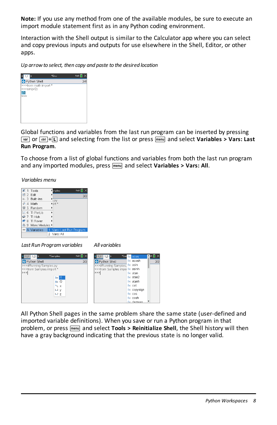**Note:** If you use any method from one of the available modules, be sure to execute an import module statement first as in any Python coding environment.

Interaction with the Shell output is similar to the Calculator app where you can select and copy previous inputs and outputs for use elsewhere in the Shell, Editor, or other apps.

*Up arrow to select, then copy and paste to the desired location*



Global functions and variables from the last run program can be inserted by pressing hor/+L and selecting from the list or press b and select **Variables > Vars: Last Run Program**.

To choose from a list of global functions and variables from both the last run program and any imported modules, press **menul** and select **Variables** > Vars: All.

*Variables menu*

|          | $\times$ 1 Tools         | <b>Damples</b>    | $RAD$ $\vert \vert$ >  |
|----------|--------------------------|-------------------|------------------------|
| 印 2 Fdit |                          |                   | 3/3                    |
|          | $\text{tr.}$ 3 Built-ins |                   |                        |
|          | $\sqrt{4}$ Math          | Port <sup>*</sup> |                        |
|          | 60 5 Random              |                   |                        |
|          | 区 6 TI PlotLib           |                   |                        |
|          | $Q$ 7 Ti Hub             |                   |                        |
|          | 8 TI Rover               |                   |                        |
|          | ☆ 9 More Modules ▶       |                   |                        |
|          | var A Variables          | ۰                 | Vars: Last Run Program |
|          |                          | 2 Vars: All       |                        |

*Last Run Program variables All variables*



All Python Shell pages in the same problem share the same state (user-defined and imported variable definitions). When you save or run a Python program in that problem, or press  $\overline{\text{mean}}$  and select **Tools > Reinitialize Shell**, the Shell history will then have a gray background indicating that the previous state is no longer valid.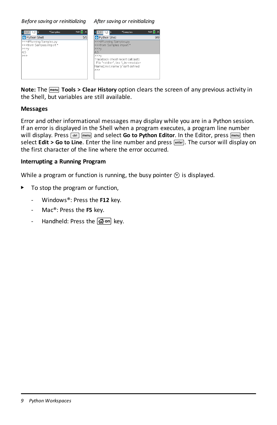#### *Before saving or reinitializing After saving or reinitializing*



**Note:** The **<u>Menual</u>** Tools > Clear History option clears the screen of any previous activity in the Shell, but variables are still available.

#### **Messages**

Error and other informational messages may display while you are in a Python session. If an error is displayed in the Shell when a program executes, a program line number will display. Press  $\boxed{cm}$  menul and select **Go to Python Editor**. In the Editor, press  $\boxed{remu}$  then select **Edit** > Go to Line. Enter the line number and press [enter]. The cursor will display on the first character of the line where the error occurred.

#### **Interrupting a Running Program**

While a program or function is running, the busy pointer  $\odot$  is displayed.

- ▶ To stop the program or function,
	- Windows®: Press the **F12** key.
	- Mac®: Press the **F5** key.
	- Handheld: Press the <a>
	Handheld: Press the<br/>  $\sqrt{\mathbf{a}^T \mathbf{b}}$  haven.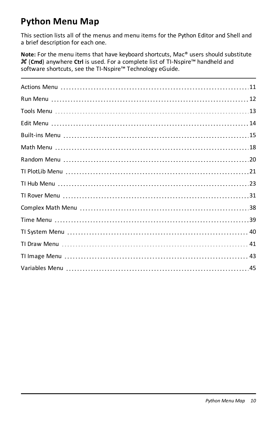## <span id="page-12-0"></span>**Python Menu Map**

This section lists all of the menus and menu items for the Python Editor and Shell and a brief description for each one.

**Note:** For the menu items that have keyboard shortcuts, Mac® users should substitute " (**Cmd**) anywhere **Ctrl** is used. For a complete list of TI-Nspire™ handheld and software shortcuts, see the TI-Nspire™ Technology eGuide.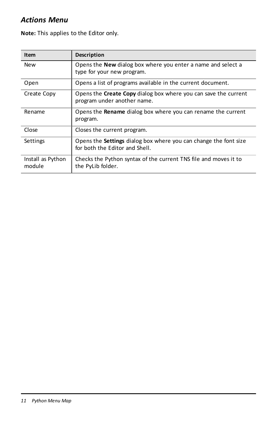## <span id="page-13-0"></span>*Actions Menu*

**Note:** This applies to the Editor only.

| Item                        | Description                                                                                               |
|-----------------------------|-----------------------------------------------------------------------------------------------------------|
| <b>New</b>                  | Opens the <b>New</b> dialog box where you enter a name and select a<br>type for your new program.         |
| Open                        | Opens a list of programs available in the current document.                                               |
| Create Copy                 | Opens the Create Copy dialog box where you can save the current<br>program under another name.            |
| Rename                      | Opens the <b>Rename</b> dialog box where you can rename the current<br>program.                           |
| Close                       | Closes the current program.                                                                               |
| Settings                    | Opens the <b>Settings</b> dialog box where you can change the font size<br>for both the Editor and Shell. |
| Install as Python<br>module | Checks the Python syntax of the current TNS file and moves it to<br>the PyLib folder.                     |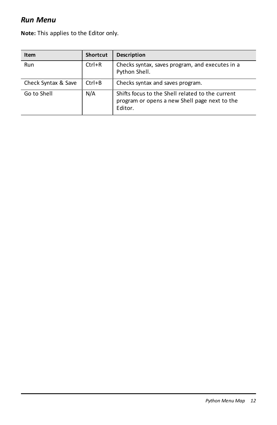## <span id="page-14-0"></span>*Run Menu*

**Note:** This applies to the Editor only.

| Item                | <b>Shortcut</b> | Description                                                                                                  |
|---------------------|-----------------|--------------------------------------------------------------------------------------------------------------|
| Run                 | $Ctrl + R$      | Checks syntax, saves program, and executes in a<br>Python Shell.                                             |
| Check Syntax & Save | $Ctrl + B$      | Checks syntax and saves program.                                                                             |
| Go to Shell         | N/A             | Shifts focus to the Shell related to the current<br>program or opens a new Shell page next to the<br>Editor. |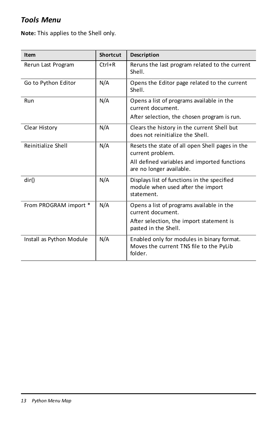## <span id="page-15-0"></span>*Tools Menu*

**Note:** This applies to the Shell only.

| Item                     | <b>Shortcut</b> | Description                                                                                      |
|--------------------------|-----------------|--------------------------------------------------------------------------------------------------|
| Rerun Last Program       | $Ctrl + R$      | Reruns the last program related to the current<br>Shell.                                         |
| Go to Python Editor      | N/A             | Opens the Editor page related to the current<br>Shell.                                           |
| Run                      | N/A             | Opens a list of programs available in the<br>current document.                                   |
|                          |                 | After selection, the chosen program is run.                                                      |
| Clear History            | N/A             | Clears the history in the current Shell but<br>does not reinitialize the Shell.                  |
| Reinitialize Shell       | N/A             | Resets the state of all open Shell pages in the<br>current problem.                              |
|                          |                 | All defined variables and imported functions<br>are no longer available.                         |
| dir()                    | N/A             | Displays list of functions in the specified<br>module when used after the import<br>statement.   |
| From PROGRAM import *    | N/A             | Opens a list of programs available in the<br>current document.                                   |
|                          |                 | After selection, the import statement is<br>pasted in the Shell.                                 |
| Install as Python Module | N/A             | Enabled only for modules in binary format.<br>Moves the current TNS file to the PyLib<br>folder. |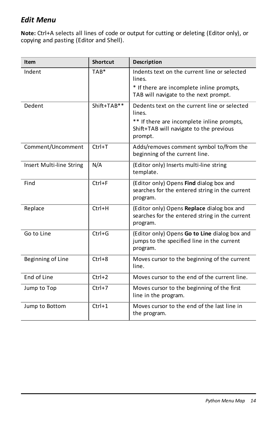## <span id="page-16-0"></span>*Edit Menu*

**Note:** Ctrl+A selects all lines of code or output for cutting or deleting (Editor only), or copying and pasting (Editor and Shell).

| Item                     | <b>Shortcut</b> | Description                                                                                              |
|--------------------------|-----------------|----------------------------------------------------------------------------------------------------------|
| Indent                   | TAB*            | Indents text on the current line or selected<br>lines.                                                   |
|                          |                 | * If there are incomplete inline prompts,<br>TAB will navigate to the next prompt.                       |
| Dedent                   | Shift+TAB**     | Dedents text on the current line or selected<br>lines.                                                   |
|                          |                 | ** If there are incomplete inline prompts,<br>Shift+TAB will navigate to the previous<br>prompt.         |
| Comment/Uncomment        | $Ctrl+T$        | Adds/removes comment symbol to/from the<br>beginning of the current line.                                |
| Insert Multi-line String | N/A             | (Editor only) Inserts multi-line string<br>template.                                                     |
| Find                     | Ctrl+F          | (Editor only) Opens Find dialog box and<br>searches for the entered string in the current<br>program.    |
| Replace                  | Ctrl+H          | (Editor only) Opens Replace dialog box and<br>searches for the entered string in the current<br>program. |
| Go to Line               | $Ctrl + G$      | (Editor only) Opens Go to Line dialog box and<br>jumps to the specified line in the current<br>program.  |
| Beginning of Line        | $Ctrl + 8$      | Moves cursor to the beginning of the current<br>line.                                                    |
| End of Line              | $Ctrl + 2$      | Moves cursor to the end of the current line.                                                             |
| Jump to Top              | $Ctrl + 7$      | Moves cursor to the beginning of the first<br>line in the program.                                       |
| Jump to Bottom           | $Ctrl + 1$      | Moves cursor to the end of the last line in<br>the program.                                              |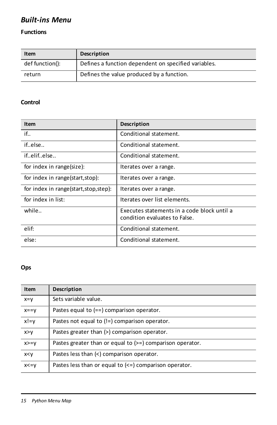## <span id="page-17-0"></span>*Built-ins Menu*

## **Functions**

| Item            | Description                                          |
|-----------------|------------------------------------------------------|
| def function(): | Defines a function dependent on specified variables. |
| return          | Defines the value produced by a function.            |

### **Control**

| Item                                    | Description                                                                  |
|-----------------------------------------|------------------------------------------------------------------------------|
| if                                      | Conditional statement.                                                       |
| if.else                                 | Conditional statement.                                                       |
| ifelifelse                              | Conditional statement.                                                       |
| for index in range(size):               | Iterates over a range.                                                       |
| for index in range(start, stop):        | Iterates over a range.                                                       |
| for index in range (start, stop, step): | Iterates over a range.                                                       |
| for index in list:                      | Iterates over list elements.                                                 |
| while                                   | Executes statements in a code block until a<br>condition evaluates to False. |
| elif:                                   | Conditional statement.                                                       |
| else:                                   | Conditional statement.                                                       |

#### **Ops**

| Item             | Description                                                                          |
|------------------|--------------------------------------------------------------------------------------|
| $x=y$            | Sets variable value.                                                                 |
| $x = y$          | Pastes equal to $(==)$ comparison operator.                                          |
| $x!=v$           | Pastes not equal to (!=) comparison operator.                                        |
| $\overline{x>y}$ | Pastes greater than (>) comparison operator.                                         |
| $x>=y$           | Pastes greater than or equal to $(>=)$ comparison operator.                          |
| x < y            | Pastes less than (<) comparison operator.                                            |
| $x < = v$        | Pastes less than or equal to $\left( \langle - \rangle \right)$ comparison operator. |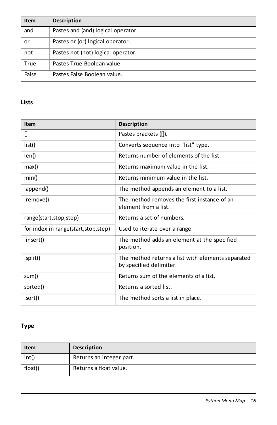| Item  | Description                        |
|-------|------------------------------------|
| and   | Pastes and (and) logical operator. |
| or    | Pastes or (or) logical operator.   |
| not   | Pastes not (not) logical operator. |
| True  | Pastes True Boolean value.         |
| False | Pastes False Boolean value.        |

## **Lists**

| Item                                  | Description                                                                  |
|---------------------------------------|------------------------------------------------------------------------------|
| П                                     | Pastes brackets ([]).                                                        |
| list()                                | Converts sequence into "list" type.                                          |
| len()                                 | Returns number of elements of the list.                                      |
| max()                                 | Returns maximum value in the list.                                           |
| min()                                 | Returns minimum value in the list.                                           |
| .append()                             | The method appends an element to a list.                                     |
| .remove()                             | The method removes the first instance of an<br>element from a list.          |
| range(start, stop, step)              | Returns a set of numbers.                                                    |
| for index in range(start, stop, step) | Used to iterate over a range.                                                |
| .insert()                             | The method adds an element at the specified<br>position.                     |
| .split()                              | The method returns a list with elements separated<br>by specified delimiter. |
| sum()                                 | Returns sum of the elements of a list.                                       |
| sorted()                              | Returns a sorted list.                                                       |
| .sort()                               | The method sorts a list in place.                                            |

## **Type**

| Item    | Description              |
|---------|--------------------------|
| int()   | Returns an integer part. |
| float() | Returns a float value.   |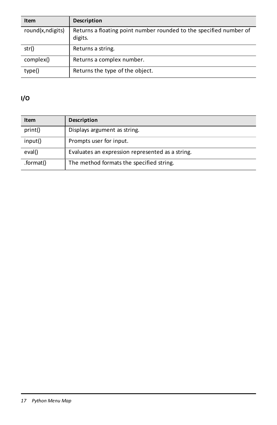| Item             | Description                                                                   |
|------------------|-------------------------------------------------------------------------------|
| round(x,ndigits) | Returns a floating point number rounded to the specified number of<br>digits. |
| str()            | Returns a string.                                                             |
| complex()        | Returns a complex number.                                                     |
| type()           | Returns the type of the object.                                               |

## **I/O**

| Item      | Description                                      |
|-----------|--------------------------------------------------|
| print()   | Displays argument as string.                     |
| input()   | Prompts user for input.                          |
| eval()    | Evaluates an expression represented as a string. |
| .format() | The method formats the specified string.         |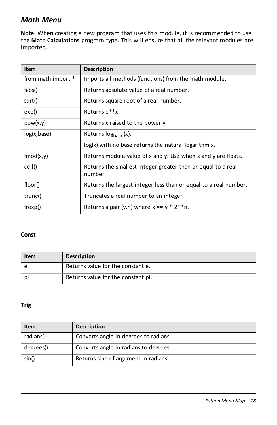## <span id="page-20-0"></span>*Math Menu*

**Note:** When creating a new program that uses this module, it is recommended to use the **Math Calculations** program type. This will ensure that all the relevant modules are imported.

| Item               | Description                                                             |
|--------------------|-------------------------------------------------------------------------|
| from math import * | Imports all methods (functions) from the math module.                   |
| fabs()             | Returns absolute value of a real number.                                |
| sqrt()             | Returns square root of a real number.                                   |
| exp()              | Returns e**x.                                                           |
| pow(x,y)           | Returns x raised to the power y.                                        |
| log(x, base)       | Returns log <sub>base</sub> (x).                                        |
|                    | $log(x)$ with no base returns the natural logarithm x.                  |
| fmod(x,y)          | Returns module value of x and y. Use when x and y are floats.           |
| ceil()             | Returns the smallest integer greater than or equal to a real<br>number. |
| floor()            | Returns the largest integer less than or equal to a real number.        |
| trunc()            | Truncates a real number to an integer.                                  |
| $f$ rexp()         | Returns a pair (y,n) where $x == y * 2**n$ .                            |

#### **Const**

| Item | Description                        |
|------|------------------------------------|
|      | Returns value for the constant e.  |
|      | Returns value for the constant pi. |

#### **Trig**

| Item      | Description                           |
|-----------|---------------------------------------|
| radians() | Converts angle in degrees to radians. |
| degrees() | Converts angle in radians to degrees. |
| sin()     | Returns sine of argument in radians.  |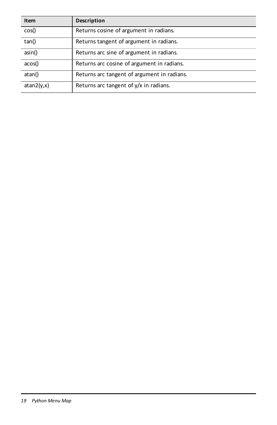| Item       | Description                                 |
|------------|---------------------------------------------|
| cos()      | Returns cosine of argument in radians.      |
| tan()      | Returns tangent of argument in radians.     |
| asin()     | Returns arc sine of argument in radians.    |
| acos()     | Returns arc cosine of argument in radians.  |
| atan()     | Returns arc tangent of argument in radians. |
| atan2(y,x) | Returns arc tangent of $y/x$ in radians.    |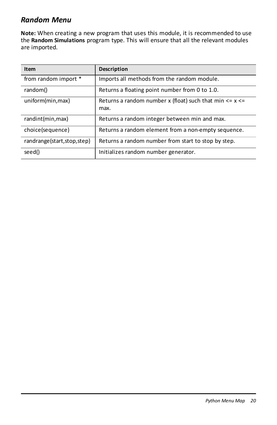## <span id="page-22-0"></span>*Random Menu*

**Note:** When creating a new program that uses this module, it is recommended to use the **Random Simulations** program type. This will ensure that all the relevant modules are imported.

| <b>Item</b>                | Description                                                           |
|----------------------------|-----------------------------------------------------------------------|
| from random import *       | Imports all methods from the random module.                           |
| random()                   | Returns a floating point number from 0 to 1.0.                        |
| uniform(min, max)          | Returns a random number x (float) such that min $\leq x \leq$<br>max. |
| randint(min, max)          | Returns a random integer between min and max.                         |
| choice(sequence)           | Returns a random element from a non-empty sequence.                   |
| randrange(start,stop,step) | Returns a random number from start to stop by step.                   |
| seed()                     | Initializes random number generator.                                  |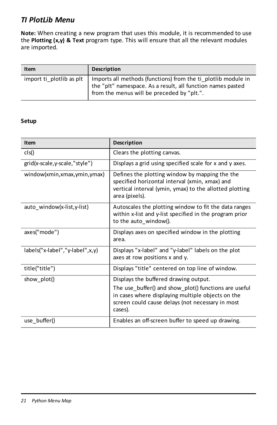## <span id="page-23-0"></span>*TI PlotLib Menu*

**Note:** When creating a new program that uses this module, it is recommended to use the **Plotting (x,y) & Text** program type. This will ensure that all the relevant modules are imported.

| Item | Description                                                                                                                                                                                           |
|------|-------------------------------------------------------------------------------------------------------------------------------------------------------------------------------------------------------|
|      | import ti_plotlib as plt   Imports all methods (functions) from the ti_plotlib module in<br>the "plt" namespace. As a result, all function names pasted<br>from the menus will be preceded by "plt.". |

#### **Setup**

| Item                            | Description                                                                                                                                                                   |
|---------------------------------|-------------------------------------------------------------------------------------------------------------------------------------------------------------------------------|
| cls()                           | Clears the plotting canvas.                                                                                                                                                   |
| grid(x-scale,y-scale,"style")   | Displays a grid using specified scale for x and y axes.                                                                                                                       |
| window(xmin,xmax,ymin,ymax)     | Defines the plotting window by mapping the the<br>specified horizontal interval (xmin, xmax) and<br>vertical interval (ymin, ymax) to the allotted plotting<br>area (pixels). |
| auto window(x-list,y-list)      | Autoscales the plotting window to fit the data ranges<br>within x-list and y-list specified in the program prior<br>to the auto window().                                     |
| axes("mode")                    | Displays axes on specified window in the plotting<br>area.                                                                                                                    |
| labels("x-label","y-label",x,y) | Displays "x-label" and "y-label" labels on the plot<br>axes at row positions x and y.                                                                                         |
| title("title")                  | Displays "title" centered on top line of window.                                                                                                                              |
| show_plot()                     | Displays the buffered drawing output.                                                                                                                                         |
|                                 | The use buffer() and show plot() functions are useful<br>in cases where displaying multiple objects on the<br>screen could cause delays (not necessary in most<br>cases).     |
| use buffer()                    | Enables an off-screen buffer to speed up drawing.                                                                                                                             |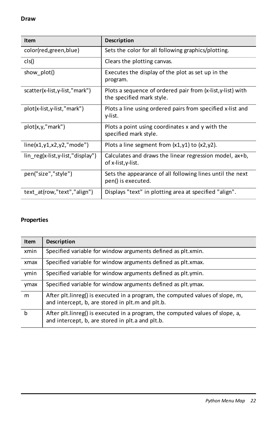| Item                             | Description                                                                                |
|----------------------------------|--------------------------------------------------------------------------------------------|
| color(red, green, blue)          | Sets the color for all following graphics/plotting.                                        |
| cls()                            | Clears the plotting canvas.                                                                |
| show plot()                      | Executes the display of the plot as set up in the<br>program.                              |
| scatter(x-list,y-list,"mark")    | Plots a sequence of ordered pair from $(x-list, y-list)$ with<br>the specified mark style. |
| plot(x-list,y-list,"mark")       | Plots a line using ordered pairs from specified x-list and<br>v-list.                      |
| plot(x,y,"mark")                 | Plots a point using coordinates x and y with the<br>specified mark style.                  |
| line(x1,y1,x2,y2,"mode")         | Plots a line segment from $(x1,y1)$ to $(x2,y2)$ .                                         |
| lin_reg(x-list,y-list,"display") | Calculates and draws the linear regression model, ax+b,<br>of x-list, y-list.              |
| pen("size","style")              | Sets the appearance of all following lines until the next<br>pen() is executed.            |
| text at(row,"text","align")      | Displays "text" in plotting area at specified "align".                                     |

## **Properties**

| <b>Item</b> | Description                                                                                                                       |
|-------------|-----------------------------------------------------------------------------------------------------------------------------------|
| xmin        | Specified variable for window arguments defined as plt.xmin.                                                                      |
| xmax        | Specified variable for window arguments defined as plt.xmax.                                                                      |
| ymin        | Specified variable for window arguments defined as plt.ymin.                                                                      |
| ymax        | Specified variable for window arguments defined as plt.ymax.                                                                      |
| m           | After plt.linreg() is executed in a program, the computed values of slope, m,<br>and intercept, b, are stored in plt.m and plt.b. |
| h           | After plt.linreg() is executed in a program, the computed values of slope, a,<br>and intercept, b, are stored in plt.a and plt.b. |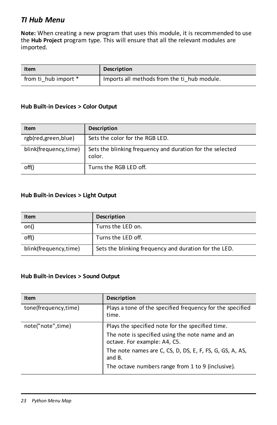## <span id="page-25-0"></span>*TI Hub Menu*

**Note:** When creating a new program that uses this module, it is recommended to use the **Hub Project** program type. This will ensure that all the relevant modules are imported.

| Item                 | Description                                 |
|----------------------|---------------------------------------------|
| from ti hub import * | Imports all methods from the ti hub module. |

#### **Hub Built-in Devices > Color Output**

| Item                  | Description                                                         |
|-----------------------|---------------------------------------------------------------------|
| rgb(red,green,blue)   | Sets the color for the RGB LED.                                     |
| blink(frequency,time) | Sets the blinking frequency and duration for the selected<br>color. |
| off()                 | Turns the RGB LED off.                                              |

### **Hub Built-in Devices > Light Output**

| Item                  | Description                                           |
|-----------------------|-------------------------------------------------------|
| on()                  | Turns the LED on.                                     |
| off()                 | Turns the LED off.                                    |
| blink(frequency,time) | Sets the blinking frequency and duration for the LED. |

### **Hub Built-in Devices > Sound Output**

| Item                 | Description                                                                      |
|----------------------|----------------------------------------------------------------------------------|
| tone(frequency,time) | Plays a tone of the specified frequency for the specified<br>time.               |
| note("note",time)    | Plays the specified note for the specified time.                                 |
|                      | The note is specified using the note name and an<br>octave. For example: A4, C5. |
|                      | The note names are C, CS, D, DS, E, F, FS, G, GS, A, AS,<br>and B.               |
|                      | The octave numbers range from 1 to 9 (inclusive).                                |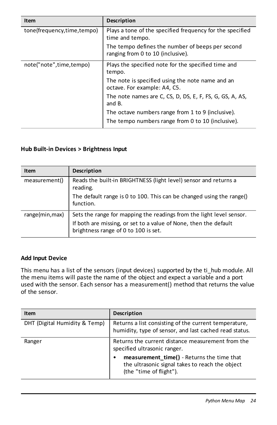| Item                       | Description                                                                           |
|----------------------------|---------------------------------------------------------------------------------------|
| tone(frequency,time,tempo) | Plays a tone of the specified frequency for the specified<br>time and tempo.          |
|                            | The tempo defines the number of beeps per second<br>ranging from 0 to 10 (inclusive). |
| note("note",time,tempo)    | Plays the specified note for the specified time and<br>tempo.                         |
|                            | The note is specified using the note name and an<br>octave. For example: A4, C5.      |
|                            | The note names are C, CS, D, DS, E, F, FS, G, GS, A, AS,<br>and B.                    |
|                            | The octave numbers range from 1 to 9 (inclusive).                                     |
|                            | The tempo numbers range from 0 to 10 (inclusive).                                     |

#### **Hub Built-in Devices > Brightness Input**

| Item            | Description                                                                                                                                                                      |
|-----------------|----------------------------------------------------------------------------------------------------------------------------------------------------------------------------------|
| measurement()   | Reads the built-in BRIGHTNESS (light level) sensor and returns a<br>reading.<br>The default range is 0 to 100. This can be changed using the range()<br>function.                |
| range(min, max) | Sets the range for mapping the readings from the light level sensor.<br>If both are missing, or set to a value of None, then the default<br>brightness range of 0 to 100 is set. |

#### **Add Input Device**

This menu has a list of the sensors (input devices) supported by the ti hub module. All the menu items will paste the name of the object and expect a variable and a port used with the sensor. Each sensor has a measurement() method that returns the value of the sensor.

| Item                          | Description                                                                                                                   |
|-------------------------------|-------------------------------------------------------------------------------------------------------------------------------|
| DHT (Digital Humidity & Temp) | Returns a list consisting of the current temperature,<br>humidity, type of sensor, and last cached read status.               |
| Ranger                        | Returns the current distance measurement from the<br>specified ultrasonic ranger.                                             |
|                               | measurement time() - Returns the time that<br>٠<br>the ultrasonic signal takes to reach the object<br>(the "time of flight"). |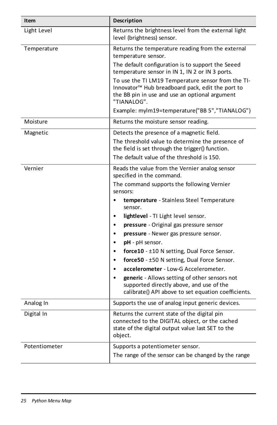| Item          | Description                                                                                                                                                                         |
|---------------|-------------------------------------------------------------------------------------------------------------------------------------------------------------------------------------|
| Light Level   | Returns the brightness level from the external light<br>level (brightness) sensor.                                                                                                  |
| Temperature   | Returns the temperature reading from the external<br>temperature sensor.                                                                                                            |
|               | The default configuration is to support the Seeed<br>temperature sensor in IN 1, IN 2 or IN 3 ports.                                                                                |
|               | To use the TI LM19 Temperature sensor from the TI-<br>Innovator <sup>™</sup> Hub breadboard pack, edit the port to<br>the BB pin in use and use an optional argument<br>"TIANALOG". |
|               | Example: mylm19=temperature("BB 5", "TIANALOG")                                                                                                                                     |
| Moisture      | Returns the moisture sensor reading.                                                                                                                                                |
| Magnetic      | Detects the presence of a magnetic field.                                                                                                                                           |
|               | The threshold value to determine the presence of<br>the field is set through the trigger() function.                                                                                |
|               | The default value of the threshold is 150.                                                                                                                                          |
| Vernier       | Reads the value from the Vernier analog sensor<br>specified in the command.                                                                                                         |
|               | The command supports the following Vernier<br>sensors:                                                                                                                              |
|               | $\bullet$<br>temperature - Stainless Steel Temperature<br>sensor.                                                                                                                   |
|               | lightlevel - TI Light level sensor.                                                                                                                                                 |
|               | <b>pressure</b> - Original gas pressure sensor                                                                                                                                      |
|               | pressure - Newer gas pressure sensor.                                                                                                                                               |
|               | pH - pH sensor.                                                                                                                                                                     |
|               | force10 - ±10 N setting, Dual Force Sensor.                                                                                                                                         |
|               | force50 - ±50 N setting, Dual Force Sensor.                                                                                                                                         |
|               | accelerometer - Low-G Accelerometer.                                                                                                                                                |
|               | <b>generic</b> - Allows setting of other sensors not<br>supported directly above, and use of the<br>calibrate() API above to set equation coefficients.                             |
| Analog In     | Supports the use of analog input generic devices.                                                                                                                                   |
| Digital In    | Returns the current state of the digital pin<br>connected to the DIGITAL object, or the cached<br>state of the digital output value last SET to the<br>object.                      |
| Potentiometer | Supports a potentiometer sensor.                                                                                                                                                    |
|               | The range of the sensor can be changed by the range                                                                                                                                 |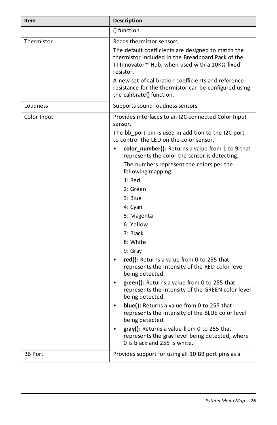| Item           | Description                                                                                                                                                                                                                                                                                                                                                                                                                                                                                                                                                                                                                                                                                                                                                                                                                                                                                                                      |
|----------------|----------------------------------------------------------------------------------------------------------------------------------------------------------------------------------------------------------------------------------------------------------------------------------------------------------------------------------------------------------------------------------------------------------------------------------------------------------------------------------------------------------------------------------------------------------------------------------------------------------------------------------------------------------------------------------------------------------------------------------------------------------------------------------------------------------------------------------------------------------------------------------------------------------------------------------|
|                | () function.                                                                                                                                                                                                                                                                                                                                                                                                                                                                                                                                                                                                                                                                                                                                                                                                                                                                                                                     |
| Thermistor     | Reads thermistor sensors.                                                                                                                                                                                                                                                                                                                                                                                                                                                                                                                                                                                                                                                                                                                                                                                                                                                                                                        |
|                | The default coefficients are designed to match the<br>thermistor included in the Breadboard Pack of the<br>TI-Innovator <sup>™</sup> Hub, when used with a 10KQ fixed<br>resistor.                                                                                                                                                                                                                                                                                                                                                                                                                                                                                                                                                                                                                                                                                                                                               |
|                | A new set of calibration coefficients and reference<br>resistance for the thermistor can be configured using<br>the calibrate() function.                                                                                                                                                                                                                                                                                                                                                                                                                                                                                                                                                                                                                                                                                                                                                                                        |
| Loudness       | Supports sound loudness sensors.                                                                                                                                                                                                                                                                                                                                                                                                                                                                                                                                                                                                                                                                                                                                                                                                                                                                                                 |
| Color Input    | Provides interfaces to an I2C-connected Color Input<br>sensor.<br>The bb port pin is used in addition to the I2C port<br>to control the LED on the color sensor.<br>color number(): Returns a value from 1 to 9 that<br>represents the color the sensor is detecting.<br>The numbers represent the colors per the<br>following mapping:<br>$1:$ Red<br>2: Green<br>3: Blue<br>4: Cyan<br>5: Magenta<br>6: Yellow<br>7: Black<br>8: White<br>9: Gray<br>red(): Returns a value from 0 to 255 that<br>represents the intensity of the RED color level<br>being detected.<br>green(): Returns a value from 0 to 255 that<br>represents the intensity of the GREEN color level<br>being detected.<br>blue(): Returns a value from 0 to 255 that<br>$\bullet$<br>represents the intensity of the BLUE color level<br>being detected.<br>gray(): Returns a value from 0 to 255 that<br>represents the gray level being detected, where |
|                | 0 is black and 255 is white.                                                                                                                                                                                                                                                                                                                                                                                                                                                                                                                                                                                                                                                                                                                                                                                                                                                                                                     |
| <b>BB Port</b> | Provides support for using all 10 BB port pins as a                                                                                                                                                                                                                                                                                                                                                                                                                                                                                                                                                                                                                                                                                                                                                                                                                                                                              |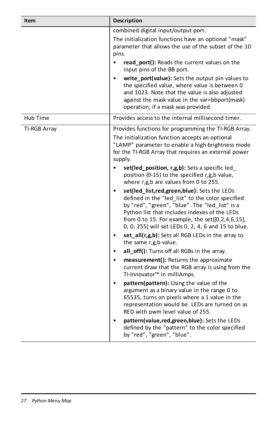| Item         | Description                                                                                                                                                                                                                                                                                                                                                                                                                                                                                                                                                                                                                                                                                                                                                                                                                                                                                                                                                                                                                                                                                                                                                                                                                                                                                                                                     |
|--------------|-------------------------------------------------------------------------------------------------------------------------------------------------------------------------------------------------------------------------------------------------------------------------------------------------------------------------------------------------------------------------------------------------------------------------------------------------------------------------------------------------------------------------------------------------------------------------------------------------------------------------------------------------------------------------------------------------------------------------------------------------------------------------------------------------------------------------------------------------------------------------------------------------------------------------------------------------------------------------------------------------------------------------------------------------------------------------------------------------------------------------------------------------------------------------------------------------------------------------------------------------------------------------------------------------------------------------------------------------|
|              | combined digital input/output port.<br>The initialization functions have an optional "mask"<br>parameter that allows the use of the subset of the 10<br>pins.<br>$\bullet$<br>read_port(): Reads the current values on the<br>input pins of the BB port.<br>write_port(value): Sets the output pin values to<br>$\bullet$<br>the specified value, where value is between 0<br>and 1023. Note that the value is also adjusted<br>against the mask value in the var=bbport(mask)<br>operation, if a mask was provided.                                                                                                                                                                                                                                                                                                                                                                                                                                                                                                                                                                                                                                                                                                                                                                                                                            |
| Hub Time     | Provides access to the internal millisecond timer.                                                                                                                                                                                                                                                                                                                                                                                                                                                                                                                                                                                                                                                                                                                                                                                                                                                                                                                                                                                                                                                                                                                                                                                                                                                                                              |
| TI-RGB Array | Provides functions for programming the TI-RGB Array.<br>The initialization function accepts an optional<br>"LAMP" parameter to enable a high-brightness mode<br>for the TI-RGB Array that requires an external power<br>supply.<br>set(led_position, r,g,b): Sets a specific led_<br>position (0-15) to the specified r,g,b value,<br>where r,g,b are values from 0 to 255.<br>set(led_list,red,green,blue): Sets the LEDs<br>defined in the "led_list" to the color specified<br>by "red", "green", "blue". The "led_list" is a<br>Python list that includes indexes of the LEDs<br>from 0 to 15. For example, the set( $[0, 2, 4, 6, 15]$ ,<br>0, 0, 255) will set LEDs 0, 2, 4, 6 and 15 to blue.<br>set_all(r,g,b): Sets all RGB LEDs in the array to<br>the same r,g,b value.<br>all_off(): Turns off all RGBs in the array.<br>measurement(): Returns the approximate<br>current draw that the RGB array is using from the<br>TI-Innovator <sup>™</sup> in milliAmps.<br>pattern(pattern): Using the value of the<br>argument as a binary value in the range 0 to<br>65535, turns on pixels where a 1 value in the<br>representation would be. LEDs are turned on as<br>RED with pwm level value of 255.<br>pattern(value,red,green,blue): Sets the LEDs<br>defined by the "pattern" to the color specified<br>by "red", "green", "blue". |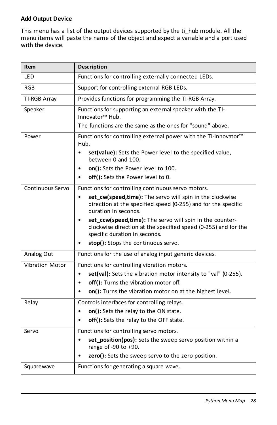#### **Add Output Device**

This menu has a list of the output devices supported by the ti\_hub module. All the menu items will paste the name of the object and expect a variable and a port used with the device.

| Item                   | Description                                                                                                                                                                                                                                                                                                                                                                                                                |
|------------------------|----------------------------------------------------------------------------------------------------------------------------------------------------------------------------------------------------------------------------------------------------------------------------------------------------------------------------------------------------------------------------------------------------------------------------|
| LED                    | Functions for controlling externally connected LEDs.                                                                                                                                                                                                                                                                                                                                                                       |
| <b>RGB</b>             | Support for controlling external RGB LEDs.                                                                                                                                                                                                                                                                                                                                                                                 |
| TI-RGB Array           | Provides functions for programming the TI-RGB Array.                                                                                                                                                                                                                                                                                                                                                                       |
| Speaker                | Functions for supporting an external speaker with the TI-<br>Innovator <sup>™</sup> Hub.<br>The functions are the same as the ones for "sound" above.                                                                                                                                                                                                                                                                      |
| Power                  | Functions for controlling external power with the TI-Innovator™<br>Hub.<br>set(value): Sets the Power level to the specified value,<br>$\bullet$<br>between 0 and 100.<br>on(): Sets the Power level to 100.<br>٠                                                                                                                                                                                                          |
|                        | off(): Sets the Power level to 0.                                                                                                                                                                                                                                                                                                                                                                                          |
| Continuous Servo       | Functions for controlling continuous servo motors.<br>set cw(speed,time): The servo will spin in the clockwise<br>$\bullet$<br>direction at the specified speed (0-255) and for the specific<br>duration in seconds.<br>set ccw(speed,time): The servo will spin in the counter-<br>clockwise direction at the specified speed (0-255) and for the<br>specific duration in seconds.<br>stop(): Stops the continuous servo. |
| Analog Out             | Functions for the use of analog input generic devices.                                                                                                                                                                                                                                                                                                                                                                     |
| <b>Vibration Motor</b> | Functions for controlling vibration motors.<br>set(val): Sets the vibration motor intensity to "val" (0-255).<br>off(): Turns the vibration motor off.<br>on(): Turns the vibration motor on at the highest level.                                                                                                                                                                                                         |
| Relay                  | Controls interfaces for controlling relays.<br>on(): Sets the relay to the ON state.<br>off(): Sets the relay to the OFF state.                                                                                                                                                                                                                                                                                            |
| Servo<br>Squarewave    | Functions for controlling servo motors.<br>set position(pos): Sets the sweep servo position within a<br>$\bullet$<br>range of -90 to +90.<br>zero(): Sets the sweep servo to the zero position.<br>Functions for generating a square wave.                                                                                                                                                                                 |
|                        |                                                                                                                                                                                                                                                                                                                                                                                                                            |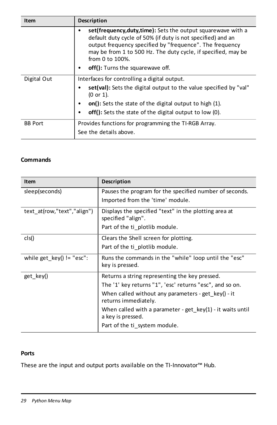| Item           | Description                                                                                                                                                                                                                                                                                                                |
|----------------|----------------------------------------------------------------------------------------------------------------------------------------------------------------------------------------------------------------------------------------------------------------------------------------------------------------------------|
|                | set(frequency, duty, time): Sets the output squarewave with a<br>٠<br>default duty cycle of 50% (if duty is not specified) and an<br>output frequency specified by "frequence". The frequency<br>may be from 1 to 500 Hz. The duty cycle, if specified, may be<br>from 0 to 100%.<br>off(): Turns the squarewave off.<br>٠ |
| Digital Out    | Interfaces for controlling a digital output.                                                                                                                                                                                                                                                                               |
|                | set(val): Sets the digital output to the value specified by "val"<br>$(0 or 1)$ .                                                                                                                                                                                                                                          |
|                | on(): Sets the state of the digital output to high (1).                                                                                                                                                                                                                                                                    |
|                | off(): Sets the state of the digital output to low (0).<br>٠                                                                                                                                                                                                                                                               |
| <b>BB Port</b> | Provides functions for programming the TI-RGB Array.                                                                                                                                                                                                                                                                       |
|                | See the details above.                                                                                                                                                                                                                                                                                                     |

#### **Commands**

| Item                        | Description                                                                       |
|-----------------------------|-----------------------------------------------------------------------------------|
| sleep(seconds)              | Pauses the program for the specified number of seconds.                           |
|                             | Imported from the 'time' module.                                                  |
| text at(row,"text","align") | Displays the specified "text" in the plotting area at<br>specified "align".       |
|                             | Part of the ti plotlib module.                                                    |
| cls()                       | Clears the Shell screen for plotting.                                             |
|                             | Part of the ti plotlib module.                                                    |
| while get $key() != "esc":$ | Runs the commands in the "while" loop until the "esc"<br>key is pressed.          |
| get key()                   | Returns a string representing the key pressed.                                    |
|                             | The '1' key returns "1", 'esc' returns "esc", and so on.                          |
|                             | When called without any parameters - get $key() - it$<br>returns immediately.     |
|                             | When called with a parameter - get $key(1)$ - it waits until<br>a key is pressed. |
|                             | Part of the ti system module.                                                     |

## **Ports**

These are the input and output ports available on the TI-Innovator™ Hub.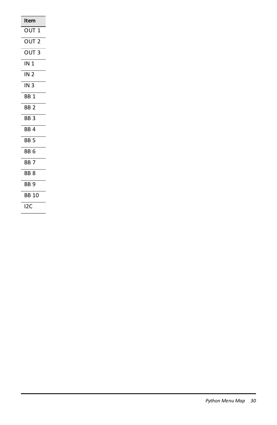| Item             |
|------------------|
| OUT <sub>1</sub> |
| OUT <sub>2</sub> |
| OUT <sub>3</sub> |
| IN 1             |
| IN <sub>2</sub>  |
| IN <sub>3</sub>  |
| BB <sub>1</sub>  |
| BB <sub>2</sub>  |
| BB <sub>3</sub>  |
| BB <sub>4</sub>  |
| BB <sub>5</sub>  |
| BB <sub>6</sub>  |
| BB <sub>7</sub>  |
| <b>BB8</b>       |
| BB <sub>9</sub>  |
| <b>BB 10</b>     |
| 120              |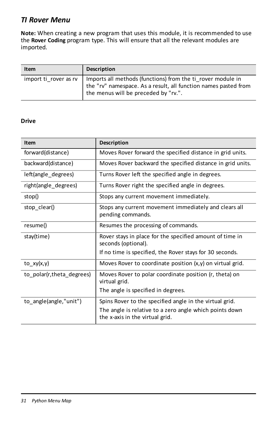## <span id="page-33-0"></span>*TI Rover Menu*

**Note:** When creating a new program that uses this module, it is recommended to use the **Rover Coding** program type. This will ensure that all the relevant modules are imported.

| Item                  | Description                                                                                                                                                            |
|-----------------------|------------------------------------------------------------------------------------------------------------------------------------------------------------------------|
| import ti rover as rv | Imports all methods (functions) from the ti_rover module in<br>the "rv" namespace. As a result, all function names pasted from<br>the menus will be preceded by "rv.". |

#### **Drive**

| Item                        | Description                                                                                                                                           |
|-----------------------------|-------------------------------------------------------------------------------------------------------------------------------------------------------|
| forward(distance)           | Moves Rover forward the specified distance in grid units.                                                                                             |
| backward(distance)          | Moves Rover backward the specified distance in grid units.                                                                                            |
| left(angle degrees)         | Turns Rover left the specified angle in degrees.                                                                                                      |
| right(angle degrees)        | Turns Rover right the specified angle in degrees.                                                                                                     |
| stop()                      | Stops any current movement immediately.                                                                                                               |
| stop_clear()                | Stops any current movement immediately and clears all<br>pending commands.                                                                            |
| resume()                    | Resumes the processing of commands.                                                                                                                   |
| stay(time)                  | Rover stays in place for the specified amount of time in<br>seconds (optional).                                                                       |
|                             | If no time is specified, the Rover stays for 30 seconds.                                                                                              |
| to_xy(x,y)                  | Moves Rover to coordinate position (x,y) on virtual grid.                                                                                             |
| to polar(r, the ta degrees) | Moves Rover to polar coordinate position (r, theta) on<br>virtual grid.                                                                               |
|                             | The angle is specified in degrees.                                                                                                                    |
| to angle(angle,"unit")      | Spins Rover to the specified angle in the virtual grid.<br>The angle is relative to a zero angle which points down<br>the x-axis in the virtual grid. |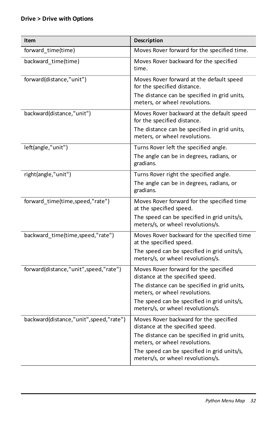| Item                                    | Description                                                                                                                                                                                                                                     |
|-----------------------------------------|-------------------------------------------------------------------------------------------------------------------------------------------------------------------------------------------------------------------------------------------------|
| forward_time(time)                      | Moves Rover forward for the specified time.                                                                                                                                                                                                     |
| backward time(time)                     | Moves Rover backward for the specified<br>time.                                                                                                                                                                                                 |
| forward(distance,"unit")                | Moves Rover forward at the default speed<br>for the specified distance.<br>The distance can be specified in grid units,<br>meters, or wheel revolutions.                                                                                        |
| backward(distance,"unit")               | Moves Rover backward at the default speed<br>for the specified distance.<br>The distance can be specified in grid units,<br>meters, or wheel revolutions.                                                                                       |
| left(angle,"unit")                      | Turns Rover left the specified angle.<br>The angle can be in degrees, radians, or<br>gradians.                                                                                                                                                  |
| right(angle,"unit")                     | Turns Rover right the specified angle.<br>The angle can be in degrees, radians, or<br>gradians.                                                                                                                                                 |
| forward_time(time,speed,"rate")         | Moves Rover forward for the specified time<br>at the specified speed.<br>The speed can be specified in grid units/s,<br>meters/s, or wheel revolutions/s.                                                                                       |
| backward_time(time,speed,"rate")        | Moves Rover backward for the specified time<br>at the specified speed.<br>The speed can be specified in grid units/s,<br>meters/s, or wheel revolutions/s.                                                                                      |
| forward(distance,"unit",speed,"rate")   | Moves Rover forward for the specified<br>distance at the specified speed.<br>The distance can be specified in grid units,<br>meters, or wheel revolutions.<br>The speed can be specified in grid units/s,<br>meters/s, or wheel revolutions/s.  |
| backward(distance,"unit", speed,"rate") | Moves Rover backward for the specified<br>distance at the specified speed.<br>The distance can be specified in grid units,<br>meters, or wheel revolutions.<br>The speed can be specified in grid units/s,<br>meters/s, or wheel revolutions/s. |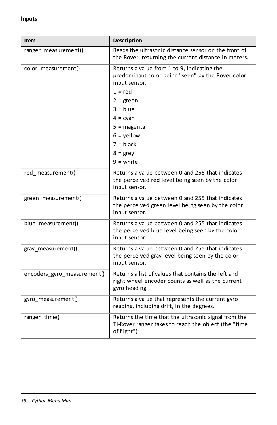| Item                        | Description                                                                                                                                                                                                                                    |
|-----------------------------|------------------------------------------------------------------------------------------------------------------------------------------------------------------------------------------------------------------------------------------------|
| ranger_measurement()        | Reads the ultrasonic distance sensor on the front of<br>the Rover, returning the current distance in meters.                                                                                                                                   |
| color_measurement()         | Returns a value from 1 to 9, indicating the<br>predominant color being "seen" by the Rover color<br>input sensor.<br>$1 = red$<br>$2 = green$<br>$3 = blue$<br>$4 = cyan$<br>$5 = magenta$<br>$6 =$ yellow<br>$7 = black$<br>$8 = \text{grey}$ |
|                             | $9 =$ white                                                                                                                                                                                                                                    |
| red_measurement()           | Returns a value between 0 and 255 that indicates<br>the perceived red level being seen by the color<br>input sensor.                                                                                                                           |
| green measurement()         | Returns a value between 0 and 255 that indicates<br>the perceived green level being seen by the color<br>input sensor.                                                                                                                         |
| blue measurement()          | Returns a value between 0 and 255 that indicates<br>the perceived blue level being seen by the color<br>input sensor.                                                                                                                          |
| gray_measurement()          | Returns a value between 0 and 255 that indicates<br>the perceived gray level being seen by the color<br>input sensor.                                                                                                                          |
| encoders gyro measurement() | Returns a list of values that contains the left and<br>right wheel encoder counts as well as the current<br>gyro heading.                                                                                                                      |
| gyro_measurement()          | Returns a value that represents the current gyro<br>reading, including drift, in the degrees.                                                                                                                                                  |
| ranger_time()               | Returns the time that the ultrasonic signal from the<br>TI-Rover ranger takes to reach the object (the "time<br>of flight").                                                                                                                   |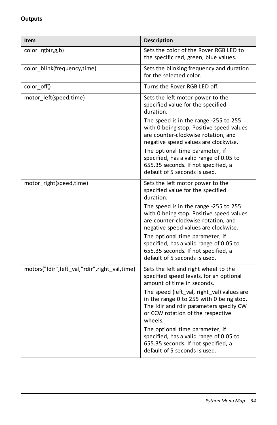### **Outputs**

| Item                                          | Description                                                                                                                                                                       |
|-----------------------------------------------|-----------------------------------------------------------------------------------------------------------------------------------------------------------------------------------|
| color_rgb(r,g,b)                              | Sets the color of the Rover RGB LED to<br>the specific red, green, blue values.                                                                                                   |
| color blink(frequency,time)                   | Sets the blinking frequency and duration<br>for the selected color.                                                                                                               |
| color_off()                                   | Turns the Rover RGB LED off.                                                                                                                                                      |
| motor left(speed,time)                        | Sets the left motor power to the<br>specified value for the specified<br>duration.                                                                                                |
|                                               | The speed is in the range -255 to 255<br>with 0 being stop. Positive speed values<br>are counter-clockwise rotation, and<br>negative speed values are clockwise.                  |
|                                               | The optional time parameter, if<br>specified, has a valid range of 0.05 to<br>655.35 seconds. If not specified, a<br>default of 5 seconds is used.                                |
| motor_right(speed,time)                       | Sets the left motor power to the<br>specified value for the specified<br>duration.                                                                                                |
|                                               | The speed is in the range -255 to 255<br>with 0 being stop. Positive speed values<br>are counter-clockwise rotation, and<br>negative speed values are clockwise.                  |
|                                               | The optional time parameter, if<br>specified, has a valid range of 0.05 to<br>655.35 seconds. If not specified, a<br>default of 5 seconds is used.                                |
| motors("Idir",left_val,"rdir",right_val,time) | Sets the left and right wheel to the<br>specified speed levels, for an optional<br>amount of time in seconds.                                                                     |
|                                               | The speed (left val, right val) values are<br>in the range 0 to 255 with 0 being stop.<br>The Idir and rdir parameters specify CW<br>or CCW rotation of the respective<br>wheels. |
|                                               | The optional time parameter, if<br>specified, has a valid range of 0.05 to<br>655.35 seconds. If not specified, a<br>default of 5 seconds is used.                                |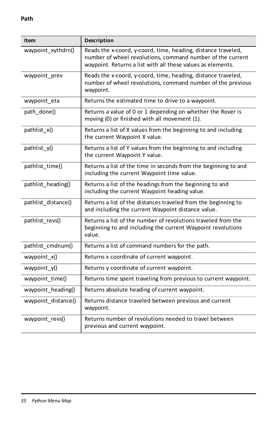**Path**

| Item                | Description                                                                                                                                                                                |
|---------------------|--------------------------------------------------------------------------------------------------------------------------------------------------------------------------------------------|
| waypoint xythdrn()  | Reads the x-coord, y-coord, time, heading, distance traveled,<br>number of wheel revolutions, command number of the current<br>waypoint. Returns a list with all these values as elements. |
| waypoint prev       | Reads the x-coord, y-coord, time, heading, distance traveled,<br>number of wheel revolutions, command number of the previous<br>waypoint.                                                  |
| waypoint eta        | Returns the estimated time to drive to a waypoint.                                                                                                                                         |
| path done()         | Returns a value of 0 or 1 depending on whether the Rover is<br>moving (0) or finished with all movement (1).                                                                               |
| pathlist x()        | Returns a list of X values from the beginning to and including<br>the current Waypoint X value.                                                                                            |
| pathlist y()        | Returns a list of Y values from the beginning to and including<br>the current Waypoint Y value.                                                                                            |
| pathlist_time()     | Returns a list of the time in seconds from the beginning to and<br>including the current Waypoint time value.                                                                              |
| pathlist heading()  | Returns a list of the headings from the beginning to and<br>including the current Waypoint heading value.                                                                                  |
| pathlist distance() | Returns a list of the distances traveled from the beginning to<br>and including the current Waypoint distance value.                                                                       |
| pathlist_revs()     | Returns a list of the number of revolutions traveled from the<br>beginning to and including the current Waypoint revolutions<br>value.                                                     |
| pathlist_cmdnum()   | Returns a list of command numbers for the path.                                                                                                                                            |
| waypoint $x()$      | Returns x coordinate of current waypoint.                                                                                                                                                  |
| waypoint $y()$      | Returns y coordinate of current waypoint.                                                                                                                                                  |
| waypoint time()     | Returns time spent traveling from previous to current waypoint.                                                                                                                            |
| waypoint heading()  | Returns absolute heading of current waypoint.                                                                                                                                              |
| waypoint distance() | Returns distance traveled between previous and current<br>waypoint.                                                                                                                        |
| waypoint revs()     | Returns number of revolutions needed to travel between<br>previous and current waypoint.                                                                                                   |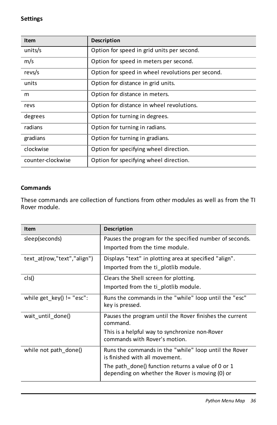#### **Settings**

| Item              | Description                                       |
|-------------------|---------------------------------------------------|
| units/s           | Option for speed in grid units per second.        |
| m/s               | Option for speed in meters per second.            |
| revs/s            | Option for speed in wheel revolutions per second. |
| units             | Option for distance in grid units.                |
| m                 | Option for distance in meters.                    |
| revs              | Option for distance in wheel revolutions.         |
| degrees           | Option for turning in degrees.                    |
| radians           | Option for turning in radians.                    |
| gradians          | Option for turning in gradians.                   |
| clockwise         | Option for specifying wheel direction.            |
| counter-clockwise | Option for specifying wheel direction.            |

#### **Commands**

These commands are collection of functions from other modules as well as from the TI Rover module.

| Item                        | Description                                                                                           |
|-----------------------------|-------------------------------------------------------------------------------------------------------|
| sleep(seconds)              | Pauses the program for the specified number of seconds.                                               |
|                             | Imported from the time module.                                                                        |
| text at(row,"text","align") | Displays "text" in plotting area at specified "align".                                                |
|                             | Imported from the ti plotlib module.                                                                  |
| cls()                       | Clears the Shell screen for plotting.                                                                 |
|                             | Imported from the ti plotlib module.                                                                  |
| while get $key() != "esc":$ | Runs the commands in the "while" loop until the "esc"                                                 |
|                             | key is pressed.                                                                                       |
| wait until done()           | Pauses the program until the Rover finishes the current<br>command.                                   |
|                             | This is a helpful way to synchronize non-Rover                                                        |
|                             | commands with Rover's motion.                                                                         |
| while not path done()       | Runs the commands in the "while" loop until the Rover<br>is finished with all movement.               |
|                             | The path done() function returns a value of 0 or 1<br>depending on whether the Rover is moving (0) or |
|                             |                                                                                                       |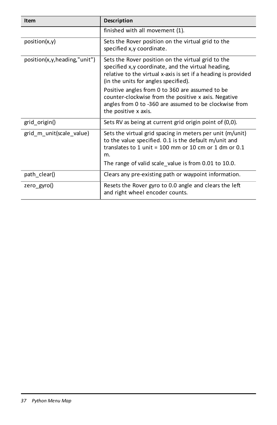| Item                         | Description                                                                                                                                                                                                                               |
|------------------------------|-------------------------------------------------------------------------------------------------------------------------------------------------------------------------------------------------------------------------------------------|
|                              | finished with all movement (1).                                                                                                                                                                                                           |
| position(x,y)                | Sets the Rover position on the virtual grid to the<br>specified x,y coordinate.                                                                                                                                                           |
| position(x,y,heading,"unit") | Sets the Rover position on the virtual grid to the<br>specified x,y coordinate, and the virtual heading,<br>relative to the virtual x-axis is set if a heading is provided<br>(in the units for angles specified).                        |
|                              | Positive angles from 0 to 360 are assumed to be<br>counter-clockwise from the positive x axis. Negative<br>angles from 0 to -360 are assumed to be clockwise from<br>the positive x axis.                                                 |
| grid origin()                | Sets RV as being at current grid origin point of (0,0).                                                                                                                                                                                   |
| grid m unit(scale value)     | Sets the virtual grid spacing in meters per unit (m/unit)<br>to the value specified. 0.1 is the default m/unit and<br>translates to 1 unit = 100 mm or 10 cm or 1 dm or 0.1<br>m.<br>The range of valid scale value is from 0.01 to 10.0. |
| path clear()                 | Clears any pre-existing path or waypoint information.                                                                                                                                                                                     |
| $zero\_gyro()$               | Resets the Rover gyro to 0.0 angle and clears the left<br>and right wheel encoder counts.                                                                                                                                                 |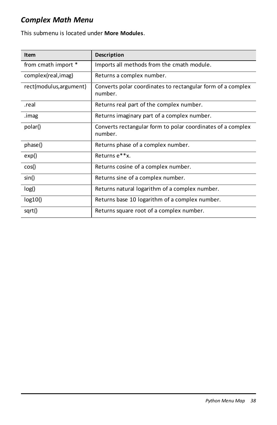## <span id="page-40-0"></span>*Complex Math Menu*

This submenu is located under **More Modules**.

| Item                    | Description                                                            |
|-------------------------|------------------------------------------------------------------------|
| from cmath import *     | Imports all methods from the cmath module.                             |
| complex(real, imag)     | Returns a complex number.                                              |
| rect(modulus, argument) | Converts polar coordinates to rectangular form of a complex<br>number. |
| .real                   | Returns real part of the complex number.                               |
| .imag                   | Returns imaginary part of a complex number.                            |
| polar()                 | Converts rectangular form to polar coordinates of a complex<br>number. |
| phase()                 | Returns phase of a complex number.                                     |
| exp()                   | Returns e**x.                                                          |
| cos()                   | Returns cosine of a complex number.                                    |
| sin()                   | Returns sine of a complex number.                                      |
| log()                   | Returns natural logarithm of a complex number.                         |
| log <sub>10</sub> ()    | Returns base 10 logarithm of a complex number.                         |
| sqrt()                  | Returns square root of a complex number.                               |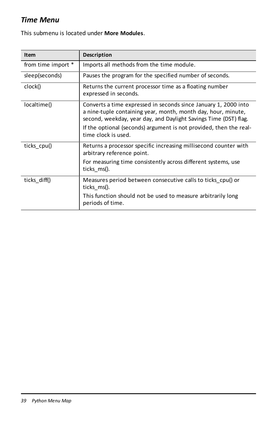## <span id="page-41-0"></span>*Time Menu*

This submenu is located under **More Modules**.

| Item               | Description                                                                                                                                                                                          |
|--------------------|------------------------------------------------------------------------------------------------------------------------------------------------------------------------------------------------------|
| from time import * | Imports all methods from the time module.                                                                                                                                                            |
| sleep(seconds)     | Pauses the program for the specified number of seconds.                                                                                                                                              |
| clock()            | Returns the current processor time as a floating number<br>expressed in seconds.                                                                                                                     |
| localtime()        | Converts a time expressed in seconds since January 1, 2000 into<br>a nine-tuple containing year, month, month day, hour, minute,<br>second, weekday, year day, and Daylight Savings Time (DST) flag. |
|                    | If the optional (seconds) argument is not provided, then the real-<br>time clock is used.                                                                                                            |
| ticks cpu()        | Returns a processor specific increasing millisecond counter with<br>arbitrary reference point.                                                                                                       |
|                    | For measuring time consistently across different systems, use<br>ticks ms().                                                                                                                         |
| ticks diff()       | Measures period between consecutive calls to ticks cpu() or<br>ticks ms().                                                                                                                           |
|                    | This function should not be used to measure arbitrarily long<br>periods of time.                                                                                                                     |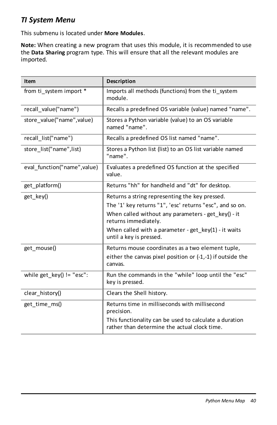## <span id="page-42-0"></span>*TI System Menu*

This submenu is located under **More Modules**.

**Note:** When creating a new program that uses this module, it is recommended to use the **Data Sharing** program type. This will ensure that all the relevant modules are imported.

| Item                          | Description                                                                                            |
|-------------------------------|--------------------------------------------------------------------------------------------------------|
| from ti system import *       | Imports all methods (functions) from the ti system<br>module.                                          |
| recall value("name")          | Recalls a predefined OS variable (value) named "name".                                                 |
| store value("name", value)    | Stores a Python variable (value) to an OS variable<br>named "name".                                    |
| recall_list("name")           | Recalls a predefined OS list named "name".                                                             |
| store list("name",list)       | Stores a Python list (list) to an OS list variable named<br>"name".                                    |
| eval_function("name", value)  | Evaluates a predefined OS function at the specified<br>value.                                          |
| get_platform()                | Returns "hh" for handheld and "dt" for desktop.                                                        |
| get key()                     | Returns a string representing the key pressed.                                                         |
|                               | The '1' key returns "1", 'esc' returns "esc", and so on.                                               |
|                               | When called without any parameters - get $key() - it$<br>returns immediately.                          |
|                               | When called with a parameter - get_key(1) - it waits<br>until a key is pressed.                        |
| get mouse()                   | Returns mouse coordinates as a two element tuple,                                                      |
|                               | either the canvas pixel position or $(-1,-1)$ if outside the<br>canvas.                                |
| while $get$ key() $!=$ "esc": | Run the commands in the "while" loop until the "esc"<br>key is pressed.                                |
| clear history()               | Clears the Shell history.                                                                              |
| get_time_ms()                 | Returns time in milliseconds with millisecond<br>precision.                                            |
|                               | This functionality can be used to calculate a duration<br>rather than determine the actual clock time. |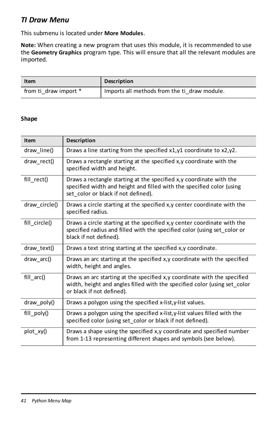## <span id="page-43-0"></span>*TI Draw Menu*

This submenu is located under **More Modules**.

**Note:** When creating a new program that uses this module, it is recommended to use the **Geometry Graphics** program type. This will ensure that all the relevant modules are imported.

| Item                  | Description                                  |
|-----------------------|----------------------------------------------|
| from ti draw import * | Imports all methods from the ti draw module. |

#### **Shape**

| Item          | Description                                                                                                                                                                          |
|---------------|--------------------------------------------------------------------------------------------------------------------------------------------------------------------------------------|
| draw_line()   | Draws a line starting from the specified $x1,y1$ coordinate to $x2,y2$ .                                                                                                             |
| draw_rect()   | Draws a rectangle starting at the specified x, y coordinate with the<br>specified width and height.                                                                                  |
| fill rect()   | Draws a rectangle starting at the specified x, y coordinate with the<br>specified width and height and filled with the specified color (using<br>set color or black if not defined). |
| draw_circle() | Draws a circle starting at the specified x, y center coordinate with the<br>specified radius.                                                                                        |
| fill circle() | Draws a circle starting at the specified x, y center coordinate with the<br>specified radius and filled with the specified color (using set color or<br>black if not defined).       |
| draw_text()   | Draws a text string starting at the specified x, y coordinate.                                                                                                                       |
| draw_arc()    | Draws an arc starting at the specified x, y coordinate with the specified<br>width, height and angles.                                                                               |
| fill_arc()    | Draws an arc starting at the specified x,y coordinate with the specified<br>width, height and angles filled with the specified color (using set color<br>or black if not defined).   |
| draw_poly()   | Draws a polygon using the specified x-list, y-list values.                                                                                                                           |
| $fill$ poly() | Draws a polygon using the specified x-list, y-list values filled with the<br>specified color (using set color or black if not defined).                                              |
| $plot_xy()$   | Draws a shape using the specified x,y coordinate and specified number<br>from 1-13 representing different shapes and symbols (see below).                                            |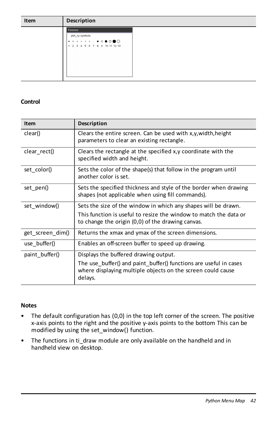| Item | Description                                                          |
|------|----------------------------------------------------------------------|
|      | Finished<br>plot_xy symbols                                          |
|      | $\bullet$ 0 $\bullet$ 0 $\bullet$ 0<br>1 2 3 4 5 6 7 8 9 10 11 12 13 |
|      |                                                                      |
|      |                                                                      |
|      |                                                                      |

#### **Control**

| <b>Item</b>      | Description                                                                                                                                 |
|------------------|---------------------------------------------------------------------------------------------------------------------------------------------|
| clear()          | Clears the entire screen. Can be used with x,y, width, height<br>parameters to clear an existing rectangle.                                 |
| clear rect()     | Clears the rectangle at the specified x,y coordinate with the<br>specified width and height.                                                |
| set color()      | Sets the color of the shape(s) that follow in the program until<br>another color is set.                                                    |
| set pen()        | Sets the specified thickness and style of the border when drawing<br>shapes (not applicable when using fill commands).                      |
| set window()     | Sets the size of the window in which any shapes will be drawn.                                                                              |
|                  | This function is useful to resize the window to match the data or<br>to change the origin (0,0) of the drawing canvas.                      |
| get screen dim() | Returns the xmax and ymax of the screen dimensions.                                                                                         |
| use buffer()     | Enables an off-screen buffer to speed up drawing.                                                                                           |
| paint buffer()   | Displays the buffered drawing output.                                                                                                       |
|                  | The use buffer() and paint buffer() functions are useful in cases<br>where displaying multiple objects on the screen could cause<br>delays. |

#### **Notes**

- The default configuration has (0,0) in the top left corner of the screen. The positive x-axis points to the right and the positive y-axis points to the bottom This can be modified by using the set\_window() function.
- The functions in ti draw module are only available on the handheld and in handheld view on desktop.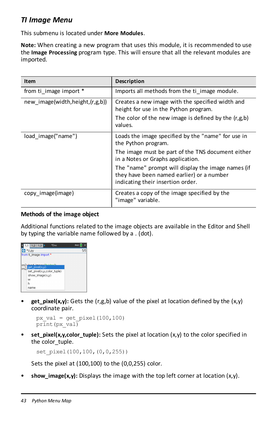## <span id="page-45-0"></span>*TI Image Menu*

This submenu is located under **More Modules**.

**Note:** When creating a new program that uses this module, it is recommended to use the **Image Processing** program type. This will ensure that all the relevant modules are imported.

| Item                                | Description                                                                                                                          |
|-------------------------------------|--------------------------------------------------------------------------------------------------------------------------------------|
| from ti image import *              | Imports all methods from the ti_image module.                                                                                        |
| new image(width, height, (r, g, b)) | Creates a new image with the specified width and<br>height for use in the Python program.                                            |
|                                     | The color of the new image is defined by the $(r, g, b)$<br>values.                                                                  |
| load image("name")                  | Loads the image specified by the "name" for use in<br>the Python program.                                                            |
|                                     | The image must be part of the TNS document either<br>in a Notes or Graphs application.                                               |
|                                     | The "name" prompt will display the image names (if<br>they have been named earlier) or a number<br>indicating their insertion order. |
| copy image(image)                   | Creates a copy of the image specified by the<br>"image" variable.                                                                    |

#### **Methods of the image object**

Additional functions related to the image objects are available in the Editor and Shell by typing the variable name followed by a . (dot).



• **get\_pixel(x,y):** Gets the (r,g,b) value of the pixel at location defined by the (x,y) coordinate pair.

```
px val = qet pixel(100,100)
print (px_val)
```
**set pixel(x,y,color tuple):** Sets the pixel at location  $(x,y)$  to the color specified in the color\_tuple.

```
set pixel(100,100,(0,0,255))
```
Sets the pixel at (100,100) to the (0,0,255) color.

show  $\mathbf{image}(x,y)$ : Displays the image with the top left corner at location  $(x,y)$ .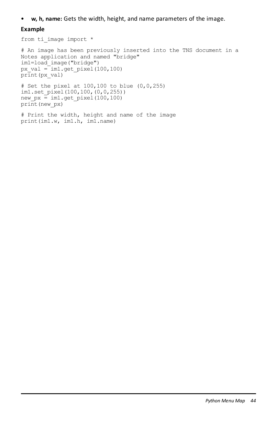#### • **w, h, name:** Gets the width, height, and name parameters of the image.

#### **Example**

from ti image import \*

# An image has been previously inserted into the TNS document in a Notes application and named "bridge" im1=load\_image("bridge") px val  $=$  im1.get pixel(100,100) print(px\_val)

```
# Set the pixel at 100,100 to blue (0,0,255)
im1.set_pixel(100,100,(0,0,255))
new px = im1.get pixel(100,100)print(new_px)
```

```
# Print the width, height and name of the image
print(im1.w, im1.h, im1.name)
```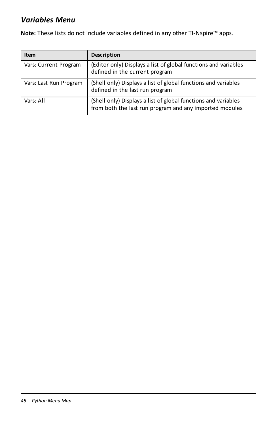## <span id="page-47-0"></span>*Variables Menu*

**Note:** These lists do not include variables defined in any other TI-Nspire™ apps.

| Item                   | Description                                                                                                               |
|------------------------|---------------------------------------------------------------------------------------------------------------------------|
| Vars: Current Program  | (Editor only) Displays a list of global functions and variables<br>defined in the current program                         |
| Vars: Last Run Program | (Shell only) Displays a list of global functions and variables<br>defined in the last run program                         |
| Vars: All              | (Shell only) Displays a list of global functions and variables<br>from both the last run program and any imported modules |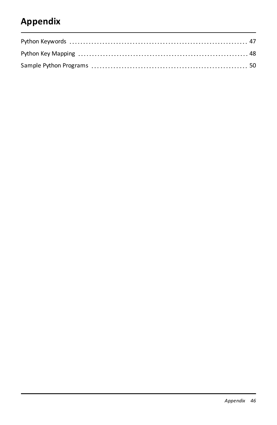# <span id="page-48-0"></span>**Appendix**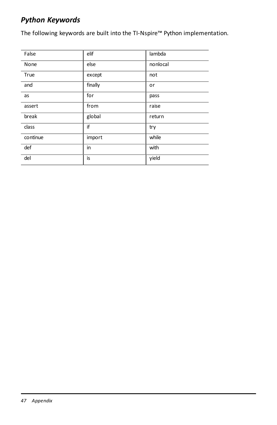## <span id="page-49-0"></span>*Python Keywords*

The following keywords are built into the TI-Nspire™ Python implementation.

| False    | elif    | lambda   |
|----------|---------|----------|
| None     | else    | nonlocal |
| True     | except  | not      |
| and      | finally | or       |
| as       | for     | pass     |
| assert   | from    | raise    |
| break    | global  | return   |
| class    | if      | try      |
| continue | import  | while    |
| def      | in      | with     |
| del      | is      | yield    |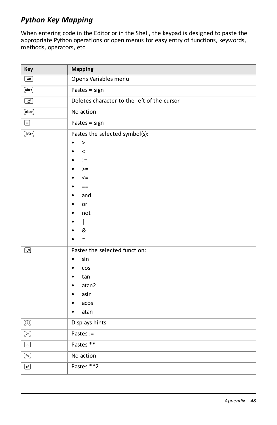## <span id="page-50-0"></span>*Python Key Mapping*

When entering code in the Editor or in the Shell, the keypad is designed to paste the appropriate Python operations or open menus for easy entry of functions, keywords, methods, operators, etc.

| Key                                                                     | Mapping                                     |
|-------------------------------------------------------------------------|---------------------------------------------|
| $\lceil$ var $\rceil$                                                   | Opens Variables menu                        |
| $\left[\text{sto}+\right]$                                              | Pastes = sign                               |
| $\begin{array}{ c } \hline \text{del} \\ \hline \text{del} \end{array}$ | Deletes character to the left of the cursor |
| [clear]                                                                 | No action                                   |
| $\overline{\Xi}$                                                        | Pastes = sign                               |
| $\sqrt{\frac{1}{2} \sum_{i=1}^{n} \frac{1}{i}}$                         | Pastes the selected symbol(s):              |
|                                                                         | >                                           |
|                                                                         | $\overline{\phantom{0}}$                    |
|                                                                         | $!=$                                        |
|                                                                         | $>=$                                        |
|                                                                         | $\leq$                                      |
|                                                                         | $=$ $=$                                     |
|                                                                         | and                                         |
|                                                                         | or<br>٠                                     |
|                                                                         | not                                         |
|                                                                         | I                                           |
|                                                                         | &                                           |
|                                                                         | $\tilde{}$                                  |
| $\begin{tabular}{ c c } \hline trigon\\ \hline \end{tabular}$           | Pastes the selected function:               |
|                                                                         | sin                                         |
|                                                                         | cos                                         |
|                                                                         | tan                                         |
|                                                                         | atan2                                       |
|                                                                         | asin                                        |
|                                                                         | acos                                        |
|                                                                         | atan<br>٠                                   |
| $\boxed{\odot}$                                                         | Displays hints                              |
| $\overline{[n]}$                                                        | Pastes $:=$                                 |
| $\boxed{\triangle}$                                                     | Pastes **                                   |
| $\overline{\left[ n_{\overline{X}}\right] }$                            | No action                                   |
| $x^2$                                                                   | Pastes **2                                  |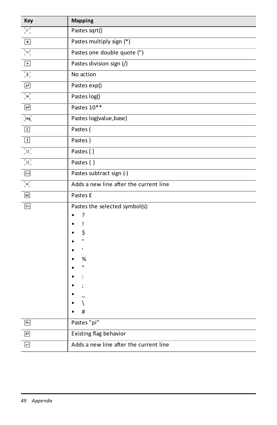| Key                                    | Mapping                                |
|----------------------------------------|----------------------------------------|
| $\mathcal{L}_1$                        | Pastes sqrt()                          |
| $\boxed{\textbf{x}}$                   | Pastes multiply sign (*)               |
| $\overline{[\mathbf{e}^{\mathbf{r}}]}$ | Pastes one double quote (")            |
| $\boxdot$                              | Pastes division sign (/)               |
| $\frac{1}{2}$                          | No action                              |
| $e^{x}$                                | Pastes exp()                           |
| $\overline{\left[ \ln \right] }$       | Pastes log()                           |
| $\boxed{10^{\circ}$                    | Pastes 10**                            |
| $\overline{[\log]}$                    | Pastes log(value, base)                |
| $\boxed{\text{ }}$                     | Pastes (                               |
| $\boxed{\phantom{1}}$                  | Pastes)                                |
| $\overline{\mathbb{R}^n}$              | Pastes []                              |
| $\sqrt{0}$                             | Pastes { }                             |
| $\boxed{\Theta}$                       | Pastes subtract sign (-)               |
| $\overline{[z]}$                       | Adds a new line after the current line |
| $\boxed{E}$                            | Pastes E                               |
| $\boxed{?}$                            | Pastes the selected symbol(s):         |
|                                        | 5                                      |
|                                        | Ţ<br>\$                                |
|                                        | $\bullet$                              |
|                                        | f.                                     |
|                                        | %                                      |
|                                        | $\mathbf{u}$                           |
|                                        |                                        |
|                                        |                                        |
|                                        |                                        |
|                                        | \                                      |
|                                        | #                                      |
| $\boxed{\pi}$                          | Pastes "pi"                            |
| $\boxed{a}$                            | Existing flag behavior                 |
| $\overline{\Xi}$                       | Adds a new line after the current line |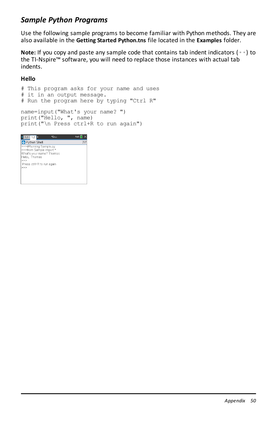## <span id="page-52-0"></span>*Sample Python Programs*

Use the following sample programs to become familiar with Python methods. They are also available in the **Getting Started Python.tns** file located in the **Examples** folder.

**Note:** If you copy and paste any sample code that contains tab indent indicators (••) to the TI-Nspire™ software, you will need to replace those instances with actual tab indents.

#### **Hello**

# This program asks for your name and uses # it in an output message. # Run the program here by typing "Ctrl R" name=input("What's your name? ") print("Hello, ", name) print("\n Press ctrl+R to run again")

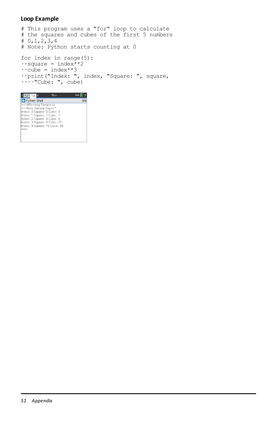#### **Loop Example**

```
# This program uses a "for" loop to calculate
# the squares and cubes of the first 5 numbers
# 0,1,2,3,4
# Note: Python starts counting at 0
for index in range(5):
••square = index**2
\text{...} \cdot \text{cube} = \text{index} \cdot \text{*} 3••print("Index: ", index, "Square: ", square,
\cdots "Cube: ", cube)
```
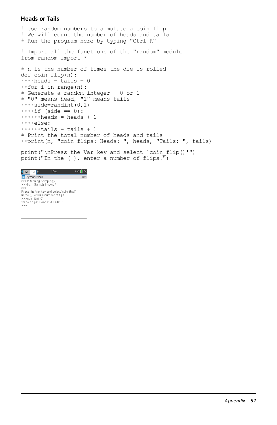#### **Heads or Tails**

# Use random numbers to simulate a coin flip # We will count the number of heads and tails # Run the program here by typing "Ctrl R" # Import all the functions of the "random" module from random import \* # n is the number of times the die is rolled def coin\_flip(n):  $\cdots$  heads = tails = 0 ••for i in range(n): # Generate a random integer - 0 or 1 # "0" means head, "1" means tails ••••side=randint(0,1)  $\cdots$ if (side == 0):  $\cdots$  •••• heads = heads + 1 ••••else:  $\cdots$ + $\text{tails}$  = tails + 1 # Print the total number of heads and tails ••print(n, "coin flips: Heads: ", heads, "Tails: ", tails)

print("\nPress the Var key and select 'coin\_flip()'") print("In the ( ), enter a number of flips! $\overline{}}$ )

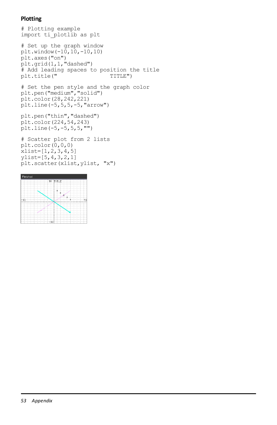#### **Plotting**

```
# Plotting example
import ti_plotlib as plt
# Set up the graph window
plt.window(-10,10,-10,10)
plt.axes("on")
plt.grid(1,1,"dashed")
# Add leading spaces to position the title<br>plt.title(" TITLE")
plt.title("
# Set the pen style and the graph color
plt.pen("medium","solid")
plt.color(28,242,221)
plt.line(-5,5,5,-5,"arrow")
plt.pen("thin","dashed")
plt.color(224,54,243)
plt.line(-5,-5,5,5,"")
```

```
# Scatter plot from 2 lists
plt.color(0,0,0)
xlist=[1,2,3,4,5]
ylist=[5,4,3,2,1]
plt.scatter(xlist,ylist, "x")
```
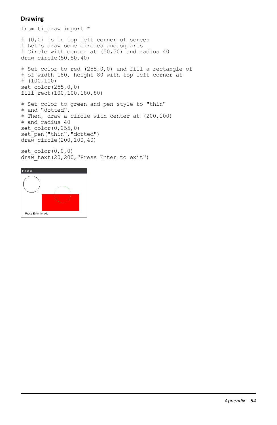#### **Drawing**

from ti draw import \*

# (0,0) is in top left corner of screen # Let's draw some circles and squares # Circle with center at (50,50) and radius 40 draw  $circle(50,50,40)$ 

# Set color to red (255,0,0) and fill a rectangle of # of width 180, height 80 with top left corner at # (100,100) set  $color(255,0,0)$  $fill$  rect(100,100,180,80)

# Set color to green and pen style to "thin" # and "dotted". # Then, draw a circle with center at (200,100) # and radius 40 set color(0,255,0) set<sup>pen("thin","dotted")</sup> draw circle(200,100,40)

set  $color(0,0,0)$  $draw$  text(20,200, "Press Enter to exit")

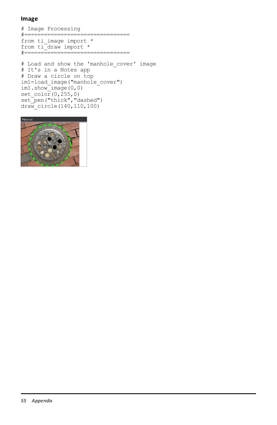#### **Image**

```
# Image Processing
#================================
from ti image import *
from ti<sup>draw</sup> import *
#================================
```

```
# Load and show the 'manhole cover' image
# It's in a Notes app
# Draw a circle on top
im1=load_image("manhole_cover")
im1.show_image(0,0)
set_color(0,255,0)
set_pen("thick","dashed")
draw_circle(140,110,100)
```
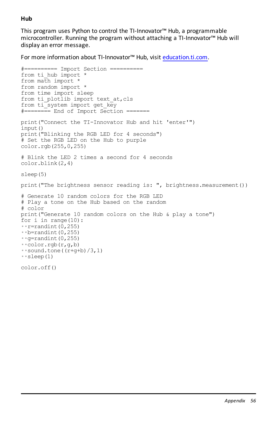#### **Hub**

This program uses Python to control the TI-Innovator™ Hub, a programmable microcontroller. Running the program without attaching a TI-Innovator™ Hub will display an error message.

For more information about TI-Innovator™ Hub, visit [education.ti.com.](https://education.ti.com/)

#========== Import Section ========== from ti hub import \* from math import \* from random import \* from time import sleep from ti plotlib import text at, cls from ti\_system import get key #======== End of Import Section ======= print("Connect the TI-Innovator Hub and hit 'enter'") input() print("Blinking the RGB LED for 4 seconds") # Set the RGB LED on the Hub to purple color.rgb(255,0,255) # Blink the LED 2 times a second for 4 seconds color.blink(2,4) sleep(5) print("The brightness sensor reading is: ", brightness.measurement()) # Generate 10 random colors for the RGB LED # Play a tone on the Hub based on the random # color print("Generate 10 random colors on the Hub & play a tone") for i in range(10):  $\cdot$   $\cdot$  r=randint (0,255) ••b=randint(0,255)  $*$ •q=randint $(0, 255)$ ••color.rgb(r,g,b) ••sound.tone((r+g+b)/3,1) ••sleep(1) color.off()